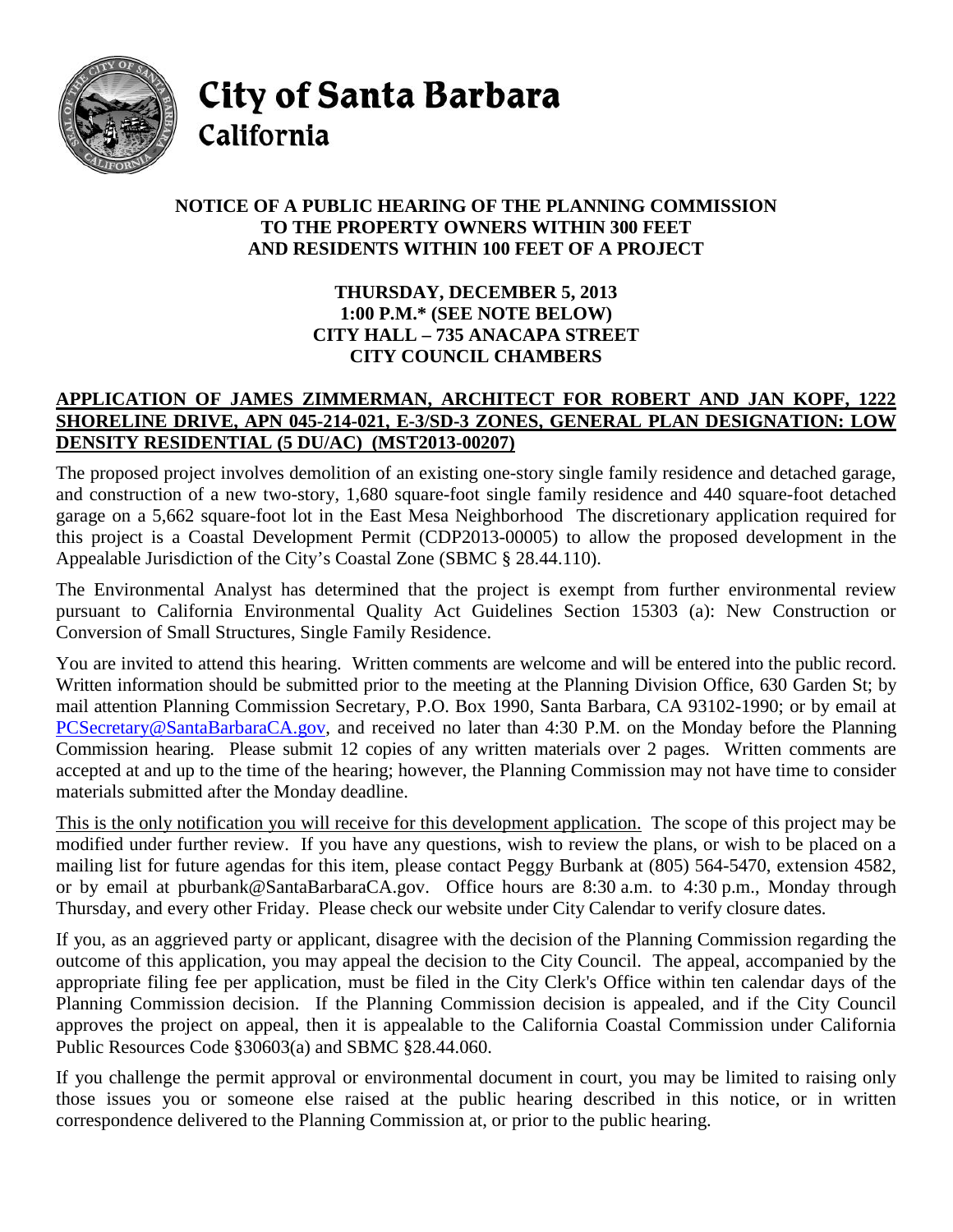

City of Santa Barbara

## California

## **NOTICE OF A PUBLIC HEARING OF THE PLANNING COMMISSION TO THE PROPERTY OWNERS WITHIN 300 FEET AND RESIDENTS WITHIN 100 FEET OF A PROJECT**

## **THURSDAY, DECEMBER 5, 2013 1:00 P.M.\* (SEE NOTE BELOW) CITY HALL – 735 ANACAPA STREET CITY COUNCIL CHAMBERS**

## **APPLICATION OF JAMES ZIMMERMAN, ARCHITECT FOR ROBERT AND JAN KOPF, 1222 SHORELINE DRIVE, APN 045-214-021, E-3/SD-3 ZONES, GENERAL PLAN DESIGNATION: LOW DENSITY RESIDENTIAL (5 DU/AC) (MST2013-00207)**

The proposed project involves demolition of an existing one-story single family residence and detached garage, and construction of a new two-story, 1,680 square-foot single family residence and 440 square-foot detached garage on a 5,662 square-foot lot in the East Mesa Neighborhood The discretionary application required for this project is a Coastal Development Permit (CDP2013-00005) to allow the proposed development in the Appealable Jurisdiction of the City's Coastal Zone (SBMC § 28.44.110).

The Environmental Analyst has determined that the project is exempt from further environmental review pursuant to California Environmental Quality Act Guidelines Section 15303 (a): New Construction or Conversion of Small Structures, Single Family Residence.

You are invited to attend this hearing. Written comments are welcome and will be entered into the public record. Written information should be submitted prior to the meeting at the Planning Division Office, 630 Garden St; by mail attention Planning Commission Secretary, P.O. Box 1990, Santa Barbara, CA 93102-1990; or by email at [PCSecretary@SantaBarbaraCA.gov,](mailto:PCSecretary@SantaBarbaraCA.gov) and received no later than 4:30 P.M. on the Monday before the Planning Commission hearing. Please submit 12 copies of any written materials over 2 pages. Written comments are accepted at and up to the time of the hearing; however, the Planning Commission may not have time to consider materials submitted after the Monday deadline.

This is the only notification you will receive for this development application. The scope of this project may be modified under further review. If you have any questions, wish to review the plans, or wish to be placed on a mailing list for future agendas for this item, please contact Peggy Burbank at (805) 564-5470, extension 4582, or by email at pburbank@SantaBarbaraCA.gov. Office hours are 8:30 a.m. to 4:30 p.m., Monday through Thursday, and every other Friday. Please check our website under City Calendar to verify closure dates.

If you, as an aggrieved party or applicant, disagree with the decision of the Planning Commission regarding the outcome of this application, you may appeal the decision to the City Council. The appeal, accompanied by the appropriate filing fee per application, must be filed in the City Clerk's Office within ten calendar days of the Planning Commission decision. If the Planning Commission decision is appealed, and if the City Council approves the project on appeal, then it is appealable to the California Coastal Commission under California Public Resources Code §30603(a) and SBMC §28.44.060.

If you challenge the permit approval or environmental document in court, you may be limited to raising only those issues you or someone else raised at the public hearing described in this notice, or in written correspondence delivered to the Planning Commission at, or prior to the public hearing.